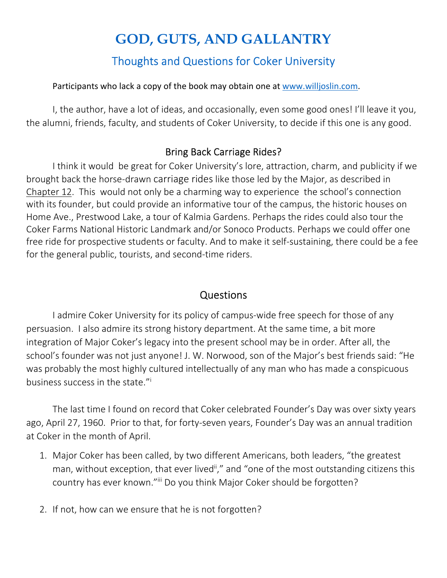## **GOD, GUTS, AND GALLANTRY**  Thoughts and Questions for Coker University

Participants who lack a copy of the book may obtain one at www.willjoslin.com.

I, the author, have a lot of ideas, and occasionally, even some good ones! I'll leave it you, the alumni, friends, faculty, and students of Coker University, to decide if this one is any good.

## Bring Back Carriage Rides?

I think it would be great for Coker University's lore, attraction, charm, and publicity if we brought back the horse-drawn carriage rides like those led by the Major, as described in Chapter 12. This would not only be a charming way to experience the school's connection with its founder, but could provide an informative tour of the campus, the historic houses on Home Ave., Prestwood Lake, a tour of Kalmia Gardens. Perhaps the rides could also tour the Coker Farms National Historic Landmark and/or Sonoco Products. Perhaps we could offer one free ride for prospective students or faculty. And to make it self-sustaining, there could be a fee for the general public, tourists, and second-time riders.

## Questions

I admire Coker University for its policy of campus-wide free speech for those of any persuasion. I also admire its strong history department. At the same time, a bit more integration of Major Coker's legacy into the present school may be in order. After all, the school's founder was not just anyone! J. W. Norwood, son of the Major's best friends said: "He was probably the most highly cultured intellectually of any man who has made a conspicuous business success in the state."<sup>i</sup>

The last time I found on record that Coker celebrated Founder's Day was over sixty years ago, April 27, 1960. Prior to that, for forty-seven years, Founder's Day was an annual tradition at Coker in the month of April.

- 1. Major Coker has been called, by two different Americans, both leaders, "the greatest man, without exception, that ever lived<sup>ii</sup>," and "one of the most outstanding citizens this country has ever known."iii Do you think Major Coker should be forgotten?
- 2. If not, how can we ensure that he is not forgotten?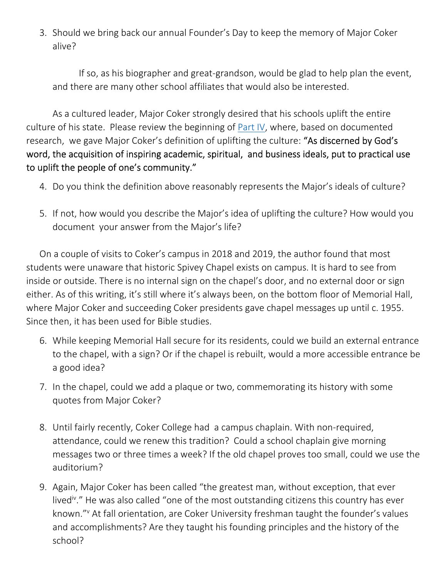3. Should we bring back our annual Founder's Day to keep the memory of Major Coker alive?

If so, as his biographer and great-grandson, would be glad to help plan the event, and there are many other school affiliates that would also be interested.

As a cultured leader, Major Coker strongly desired that his schools uplift the entire culture of his state. Please review the beginning of Part IV, where, based on documented research, we gave Major Coker's definition of uplifting the culture: "As discerned by God's word, the acquisition of inspiring academic, spiritual, and business ideals, put to practical use to uplift the people of one's community."

- 4. Do you think the definition above reasonably represents the Major's ideals of culture?
- 5. If not, how would you describe the Major's idea of uplifting the culture? How would you document your answer from the Major's life?

On a couple of visits to Coker's campus in 2018 and 2019, the author found that most students were unaware that historic Spivey Chapel exists on campus. It is hard to see from inside or outside. There is no internal sign on the chapel's door, and no external door or sign either. As of this writing, it's still where it's always been, on the bottom floor of Memorial Hall, where Major Coker and succeeding Coker presidents gave chapel messages up until c. 1955. Since then, it has been used for Bible studies.

- 6. While keeping Memorial Hall secure for its residents, could we build an external entrance to the chapel, with a sign? Or if the chapel is rebuilt, would a more accessible entrance be a good idea?
- 7. In the chapel, could we add a plaque or two, commemorating its history with some quotes from Major Coker?
- 8. Until fairly recently, Coker College had a campus chaplain. With non-required, attendance, could we renew this tradition? Could a school chaplain give morning messages two or three times a week? If the old chapel proves too small, could we use the auditorium?
- 9. Again, Major Coker has been called "the greatest man, without exception, that ever lived<sup>iv</sup>." He was also called "one of the most outstanding citizens this country has ever known." At fall orientation, are Coker University freshman taught the founder's values and accomplishments? Are they taught his founding principles and the history of the school?